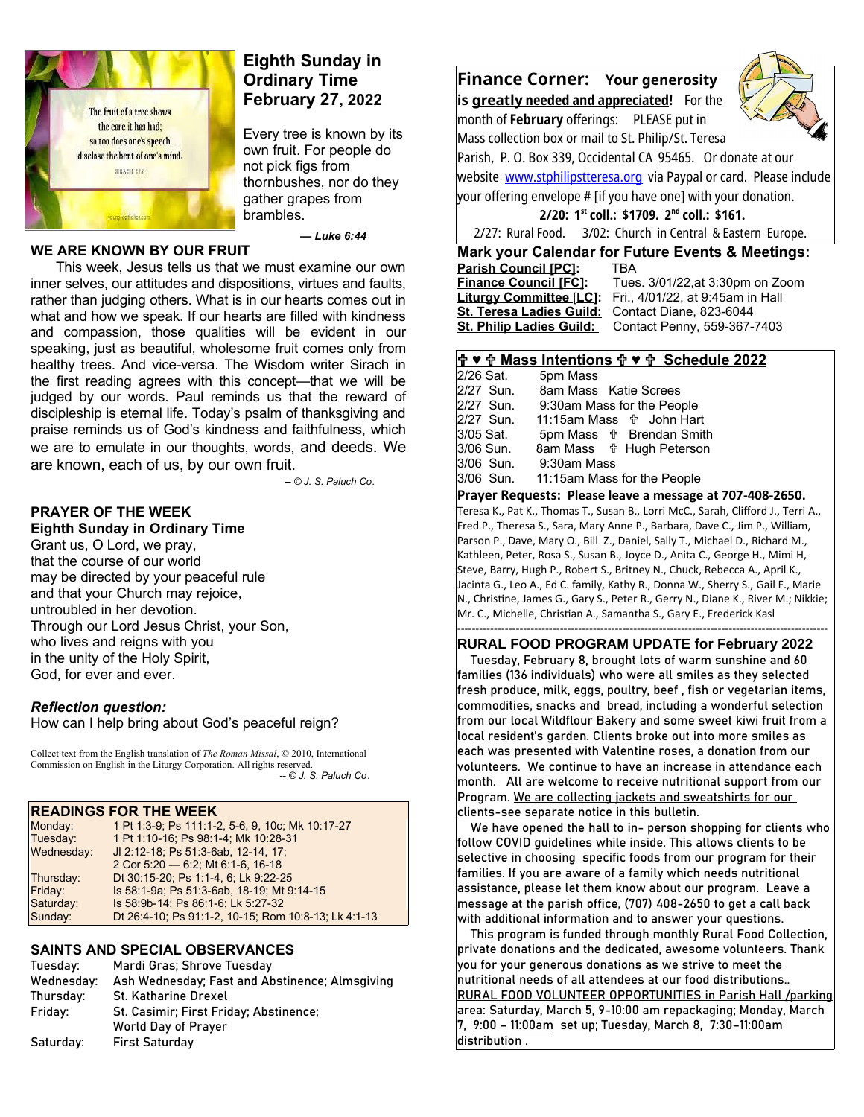

#### **WE ARE KNOWN BY OUR FRUIT**

# **Eighth Sunday in Ordinary Time February 27, 2022**

Every tree is known by its own fruit. For people do not pick figs from thornbushes, nor do they gather grapes from brambles.

 *— Luke 6:44*

This week, Jesus tells us that we must examine our own inner selves, our attitudes and dispositions, virtues and faults, rather than judging others. What is in our hearts comes out in what and how we speak. If our hearts are filled with kindness and compassion, those qualities will be evident in our speaking, just as beautiful, wholesome fruit comes only from healthy trees. And vice-versa. The Wisdom writer Sirach in the first reading agrees with this concept—that we will be judged by our words. Paul reminds us that the reward of discipleship is eternal life. Today's psalm of thanksgiving and praise reminds us of God's kindness and faithfulness, which we are to emulate in our thoughts, words, and deeds. We are known, each of us, by our own fruit.

*-- © J. S. Paluch Co*.

#### **PRAYER OF THE WEEK Eighth Sunday in Ordinary Time**

Grant us, O Lord, we pray, that the course of our world may be directed by your peaceful rule and that your Church may rejoice, untroubled in her devotion. Through our Lord Jesus Christ, your Son, who lives and reigns with you in the unity of the Holy Spirit, God, for ever and ever.

### *Reflection question:*

How can I help bring about God's peaceful reign?

Collect text from the English translation of *The Roman Missal*, © 2010, International Commission on English in the Liturgy Corporation. All rights reserved.  *-- © J. S. Paluch Co*.

## **READINGS FOR THE WEEK**

| .          | ------------                                         |
|------------|------------------------------------------------------|
| Monday:    | 1 Pt 1:3-9; Ps 111:1-2, 5-6, 9, 10c; Mk 10:17-27     |
| Tuesday:   | 1 Pt 1:10-16; Ps 98:1-4; Mk 10:28-31                 |
| Wednesday: | JI 2:12-18; Ps 51:3-6ab, 12-14, 17;                  |
|            | 2 Cor 5:20 - 6:2, Mt 6:1-6, 16-18                    |
| Thursday:  | Dt 30:15-20, Ps 1:1-4, 6, Lk 9:22-25                 |
| Friday:    | Is 58:1-9a; Ps 51:3-6ab, 18-19; Mt 9:14-15           |
| Saturday:  | Is 58.9b-14, Ps 86.1-6, Lk 5:27-32                   |
| Sunday:    | Dt 26:4-10; Ps 91:1-2, 10-15; Rom 10:8-13; Lk 4:1-13 |

### **SAINTS AND SPECIAL OBSERVANCES**

| Tuesday:   | Mardi Gras; Shrove Tuesday                     |
|------------|------------------------------------------------|
| Wednesday: | Ash Wednesday; Fast and Abstinence; Almsgiving |
| Thursday:  | <b>St. Katharine Drexel</b>                    |
| Friday:    | St. Casimir; First Friday; Abstinence;         |
|            | <b>World Day of Prayer</b>                     |
| Saturday:  | <b>First Saturday</b>                          |
|            |                                                |





Mass collection box or mail to St. Philip/St. Teresa Parish, P. O. Box 339, Occidental CA 95465. Or donate at our website [www.stphilipstteresa.org](http://www.stphilipstteresa.org/) via Paypal or card. Please include your offering envelope # [if you have one] with your donation.

**2/20: 1st coll.: \$1709. 2nd coll.: \$161.**

2/27: Rural Food. 3/02: Church in Central & Eastern Europe.

**Mark your Calendar for Future Events & Meetings: Parish Council [PC]:** TBA<br>**Finance Council [FC]:** Tues **Liturgy Committee** [**LC]:** Fri., 4/01/22, at 9:45am in Hall **St. Teresa Ladies Guild:** Contact Diane, 823-6044 St. Philip Ladies Guild: Contact Penny, 559-367-7403

 **Finance Council [FC]:** Tues. 3/01/22,at 3:30pm on Zoom

### **♥ Mass Intentions ♥ Schedule 2022**

|           | 2/26 Sat. | 5pm Mass                            |
|-----------|-----------|-------------------------------------|
|           | 2/27 Sun. | 8am Mass Katie Screes               |
|           | 2/27 Sun. | 9:30am Mass for the People          |
|           | 2/27 Sun. | 11:15am Mass <sup>+</sup> John Hart |
| 3/05 Sat. |           | 5pm Mass $\psi$ Brendan Smith       |
|           | 3/06 Sun. | 8am Mass <b>the Hugh Peterson</b>   |
|           | 3/06 Sun. | 9:30am Mass                         |
|           | 3/06 Sun. | 11:15am Mass for the People         |

#### **Prayer Requests: Please leave a message at 707-408-2650.**

Teresa K., Pat K., Thomas T., Susan B., Lorri McC., Sarah, Clifford J., Terri A., Fred P., Theresa S., Sara, Mary Anne P., Barbara, Dave C., Jim P., William, Parson P., Dave, Mary O., Bill Z., Daniel, Sally T., Michael D., Richard M., Kathleen, Peter, Rosa S., Susan B., Joyce D., Anita C., George H., Mimi H, Steve, Barry, Hugh P., Robert S., Britney N., Chuck, Rebecca A., April K., Jacinta G., Leo A., Ed C. family, Kathy R., Donna W., Sherry S., Gail F., Marie N., Christine, James G., Gary S., Peter R., Gerry N., Diane K., River M.; Nikkie; Mr. C., Michelle, Christian A., Samantha S., Gary E., Frederick Kasl

#### ----------------------------------------------------------------------------------------------------- **RURAL FOOD PROGRAM UPDATE for February 2022**

 Tuesday, February 8, brought lots of warm sunshine and 60 families (136 individuals) who were all smiles as they selected fresh produce, milk, eggs, poultry, beef , fish or vegetarian items, commodities, snacks and bread, including a wonderful selection from our local Wildflour Bakery and some sweet kiwi fruit from a local resident's garden. Clients broke out into more smiles as each was presented with Valentine roses, a donation from our volunteers. We continue to have an increase in attendance each month. All are welcome to receive nutritional support from our Program. We are collecting jackets and sweatshirts for our clients-see separate notice in this bulletin.

 We have opened the hall to in- person shopping for clients who follow COVID guidelines while inside. This allows clients to be selective in choosing specific foods from our program for their families. If you are aware of a family which needs nutritional assistance, please let them know about our program. Leave a message at the parish office, (707) 408-2650 to get a call back with additional information and to answer your questions.

 This program is funded through monthly Rural Food Collection, private donations and the dedicated, awesome volunteers. Thank  $\mid$ vou for vour generous donations as we strive to meet the nutritional needs of all attendees at our food distributions.. RURAL FOOD VOLUNTEER OPPORTUNITIES in Parish Hall /parking area: Saturday, March 5, 9-10:00 am repackaging; Monday, March 7, 9:00 – 11:00am set up; Tuesday, March 8, 7:30–11:00am distribution .